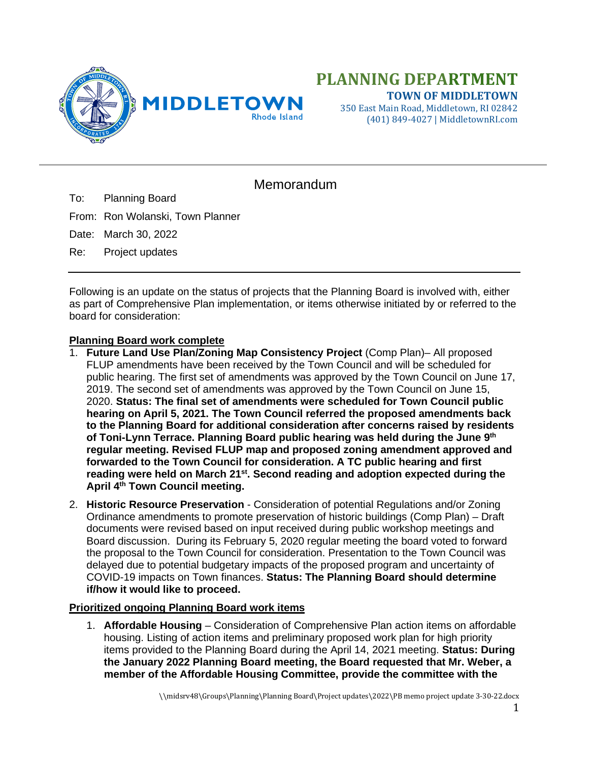

350 East Main Road, Middletown, RI 02842 (401) 849-4027 | MiddletownRI.com

## Memorandum

To: Planning Board

From: Ron Wolanski, Town Planner

Date: March 30, 2022

Re: Project updates

Following is an update on the status of projects that the Planning Board is involved with, either as part of Comprehensive Plan implementation, or items otherwise initiated by or referred to the board for consideration:

## **Planning Board work complete**

- 1. **Future Land Use Plan/Zoning Map Consistency Project** (Comp Plan)– All proposed FLUP amendments have been received by the Town Council and will be scheduled for public hearing. The first set of amendments was approved by the Town Council on June 17, 2019. The second set of amendments was approved by the Town Council on June 15, 2020. **Status: The final set of amendments were scheduled for Town Council public hearing on April 5, 2021. The Town Council referred the proposed amendments back to the Planning Board for additional consideration after concerns raised by residents of Toni-Lynn Terrace. Planning Board public hearing was held during the June 9th regular meeting. Revised FLUP map and proposed zoning amendment approved and forwarded to the Town Council for consideration. A TC public hearing and first reading were held on March 21st. Second reading and adoption expected during the April 4th Town Council meeting.**
- 2. **Historic Resource Preservation** Consideration of potential Regulations and/or Zoning Ordinance amendments to promote preservation of historic buildings (Comp Plan) – Draft documents were revised based on input received during public workshop meetings and Board discussion. During its February 5, 2020 regular meeting the board voted to forward the proposal to the Town Council for consideration. Presentation to the Town Council was delayed due to potential budgetary impacts of the proposed program and uncertainty of COVID-19 impacts on Town finances. **Status: The Planning Board should determine if/how it would like to proceed.**

## **Prioritized ongoing Planning Board work items**

1. **Affordable Housing** – Consideration of Comprehensive Plan action items on affordable housing. Listing of action items and preliminary proposed work plan for high priority items provided to the Planning Board during the April 14, 2021 meeting. **Status: During the January 2022 Planning Board meeting, the Board requested that Mr. Weber, a member of the Affordable Housing Committee, provide the committee with the**